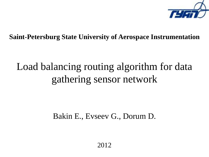

**Saint-Petersburg State University of Aerospace Instrumentation**

### Load balancing routing algorithm for data gathering sensor network

Bakin E., Evseev G., Dorum D.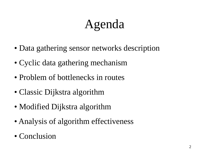# Agenda

- Data gathering sensor networks description
- Cyclic data gathering mechanism
- Problem of bottlenecks in routes
- Classic Dijkstra algorithm
- Modified Dijkstra algorithm
- Analysis of algorithm effectiveness
- Conclusion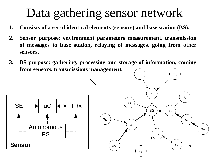## Data gathering sensor network

- **1. Consists of a set of identical elements (sensors) and base station (BS).**
- **2. Sensor purpose: environment parameters measurement, transmission of messages to base station, relaying of messages, going from other sensors.**
- **3. BS purpose: gathering, processing and storage of information, coming from sensors, transmissions management.**

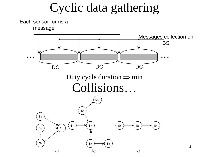Cyclic data gathering

Each sensor forms a

message

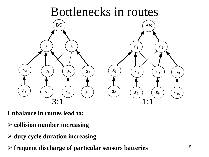

**Unbalance in routes lead to:**

- **collision number increasing**
- **duty cycle duration increasing**
- **frequent discharge of particular sensors batteries**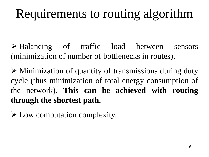# Requirements to routing algorithm

 Balancing of traffic load between sensors (minimization of number of bottlenecks in routes).

 $\triangleright$  Minimization of quantity of transmissions during duty cycle (thus minimization of total energy consumption of the network). **This can be achieved with routing through the shortest path.**

Low computation complexity.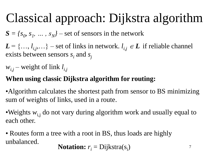# Classical approach: Dijkstra algorithm

 $S = \{s_0, s_1, \dots, s_N\}$  – set of sensors in the network

 $L = \{..., l_{i,j},...\}$  – set of links in network.  $l_{i,j} \in L$  if reliable channel exists between sensors  $s_i$  and  $s_j$ 

*wi,j –* weight of link *l i,j*

#### **When using classic Dijkstra algorithm for routing:**

•Algorithm calculates the shortest path from sensor to BS minimizing sum of weights of links, used in a route.

•Weights  $w_{i,j}$  do not vary during algorithm work and usually equal to each other.

• Routes form a tree with a root in BS, thus loads are highly unbalanced.

**Notation:** 
$$
r_i = \text{Dijkstra}(s_i)
$$

7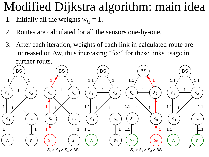### Modified Dijkstra algorithm: main idea

- 1. Initially all the weights  $w_{i,j} = 1$ .
- 2. Routes are calculated for all the sensors one-by-one.
- 3. After each iteration, weights of each link in calculated route are increased on  $\Delta w$ , thus increasing "fee" for these links usage in further routs.

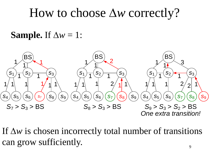### How to choose  $\Delta w$  correctly?

#### **Sample.** If  $\Delta w = 1$ :



If  $\Delta w$  is chosen incorrectly total number of transitions can grow sufficiently.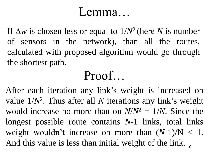### Lemma…

If  $\Delta w$  is chosen less or equal to  $1/N^2$  (here N is number of sensors in the network), than all the routes, calculated with proposed algorithm would go through the shortest path.

### Proof…

And this value is less than initial weight of the link.  $_{10}$ After each iteration any link's weight is increased on value 1/*N*<sup>2</sup> . Thus after all *N* iterations any link's weight would increase no more than on  $N/N^2 = 1/N$ . Since the longest possible route contains *N*-1 links, total links weight wouldn't increase on more than  $(N-1)/N < 1$ .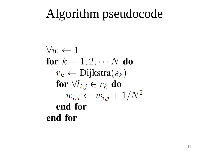### Algorithm pseudocode

$$
\forall w \leftarrow 1
$$
\n
$$
\text{for } k = 1, 2, \cdots N \text{ do}
$$
\n
$$
r_k \leftarrow \text{Dijkstra}(s_k)
$$
\n
$$
\text{for } \forall l_{i,j} \in r_k \text{ do}
$$
\n
$$
w_{i,j} \leftarrow w_{i,j} + 1/N^2
$$
\n
$$
\text{end for}
$$
\nend for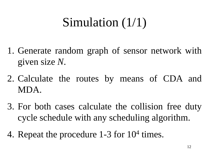## Simulation (1/1)

- 1. Generate random graph of sensor network with given size *N*.
- 2. Calculate the routes by means of CDA and MDA.
- 3. For both cases calculate the collision free duty cycle schedule with any scheduling algorithm.
- 4. Repeat the procedure 1-3 for 10<sup>4</sup> times.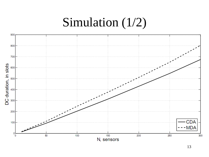### Simulation (1/2)

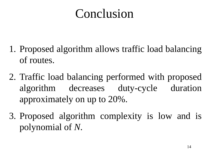## Conclusion

- 1. Proposed algorithm allows traffic load balancing of routes.
- 2. Traffic load balancing performed with proposed algorithm decreases duty-cycle duration approximately on up to 20%.
- 3. Proposed algorithm complexity is low and is polynomial of *N*.